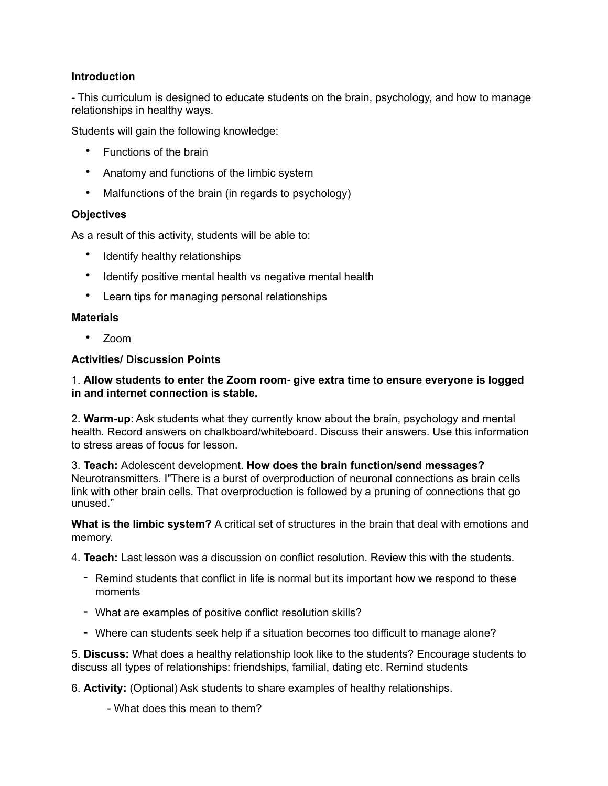# **Introduction**

- This curriculum is designed to educate students on the brain, psychology, and how to manage relationships in healthy ways.

Students will gain the following knowledge:

- Functions of the brain
- Anatomy and functions of the limbic system
- Malfunctions of the brain (in regards to psychology)

## **Objectives**

As a result of this activity, students will be able to:

- Identify healthy relationships
- Identify positive mental health vs negative mental health
- Learn tips for managing personal relationships

## **Materials**

• Zoom

## **Activities/ Discussion Points**

## 1. **Allow students to enter the Zoom room- give extra time to ensure everyone is logged in and internet connection is stable.**

2. **Warm-up**: Ask students what they currently know about the brain, psychology and mental health. Record answers on chalkboard/whiteboard. Discuss their answers. Use this information to stress areas of focus for lesson.

3. **Teach:** Adolescent development. **How does the brain function/send messages?**  Neurotransmitters. I"There is a burst of overproduction of neuronal connections as brain cells link with other brain cells. That overproduction is followed by a pruning of connections that go unused."

**What is the limbic system?** A critical set of structures in the brain that deal with emotions and memory.

4. **Teach:** Last lesson was a discussion on conflict resolution. Review this with the students.

- Remind students that conflict in life is normal but its important how we respond to these moments
- What are examples of positive conflict resolution skills?
- Where can students seek help if a situation becomes too difficult to manage alone?

5. **Discuss:** What does a healthy relationship look like to the students? Encourage students to discuss all types of relationships: friendships, familial, dating etc. Remind students

6. **Activity:** (Optional) Ask students to share examples of healthy relationships.

- What does this mean to them?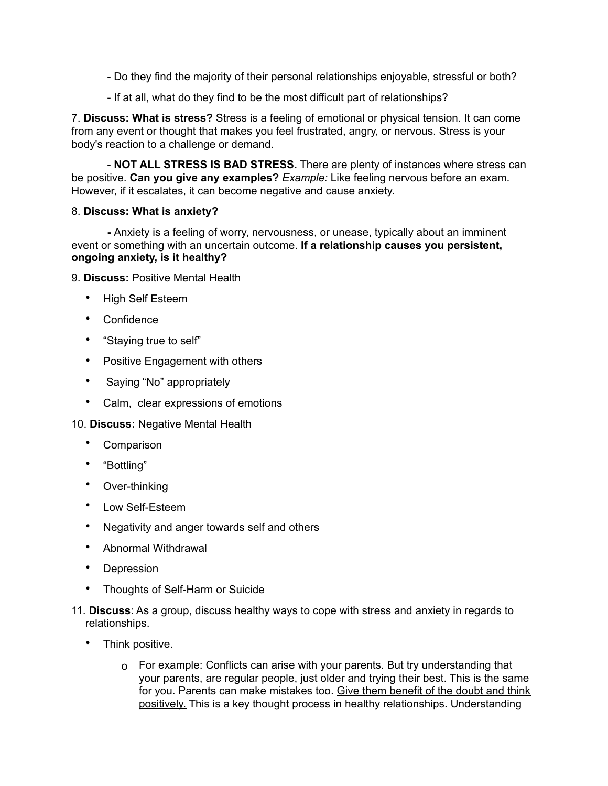- Do they find the majority of their personal relationships enjoyable, stressful or both?
- If at all, what do they find to be the most difficult part of relationships?

7. **Discuss: What is stress?** Stress is a feeling of emotional or physical tension. It can come from any event or thought that makes you feel frustrated, angry, or nervous. Stress is your body's reaction to a challenge or demand.

 - **NOT ALL STRESS IS BAD STRESS.** There are plenty of instances where stress can be positive. **Can you give any examples?** *Example:* Like feeling nervous before an exam. However, if it escalates, it can become negative and cause anxiety.

## 8. **Discuss: What is anxiety?**

 **-** Anxiety is a feeling of worry, nervousness, or unease, typically about an imminent event or something with an uncertain outcome. **If a relationship causes you persistent, ongoing anxiety, is it healthy?**

9. **Discuss:** Positive Mental Health

- High Self Esteem
- Confidence
- "Staying true to self"
- Positive Engagement with others
- Saying "No" appropriately
- Calm, clear expressions of emotions

10. **Discuss:** Negative Mental Health

- **Comparison**
- "Bottling"
- Over-thinking
- Low Self-Esteem
- Negativity and anger towards self and others
- Abnormal Withdrawal
- Depression
- Thoughts of Self-Harm or Suicide
- 11. **Discuss**: As a group, discuss healthy ways to cope with stress and anxiety in regards to relationships.
	- Think positive.
		- o For example: Conflicts can arise with your parents. But try understanding that your parents, are regular people, just older and trying their best. This is the same for you. Parents can make mistakes too. Give them benefit of the doubt and think positively. This is a key thought process in healthy relationships. Understanding